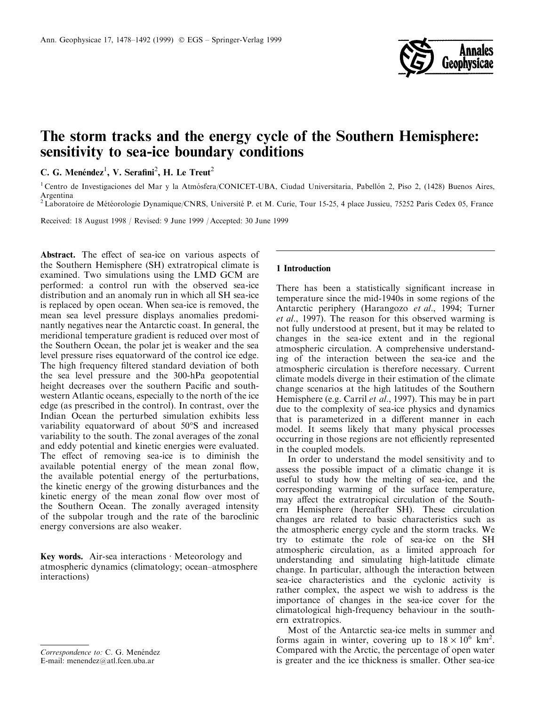

# The storm tracks and the energy cycle of the Southern Hemisphere: sensitivity to sea-ice boundary conditions

C. G. Menéndez<sup>1</sup>, V. Serafini<sup>2</sup>, H. Le Treut<sup>2</sup>

<sup>1</sup> Centro de Investigaciones del Mar y la Atmósfera/CONICET-UBA, Ciudad Universitaria, Pabellón 2, Piso 2, (1428) Buenos Aires, Argentina

<sup>2</sup> Laboratoire de Météorologie Dynamique/CNRS, Université P. et M. Curie, Tour 15-25, 4 place Jussieu, 75252 Paris Cedex 05, France

Received: 18 August 1998 / Revised: 9 June 1999 / Accepted: 30 June 1999

Abstract. The effect of sea-ice on various aspects of the Southern Hemisphere (SH) extratropical climate is examined. Two simulations using the LMD GCM are performed: a control run with the observed sea-ice distribution and an anomaly run in which all SH sea-ice is replaced by open ocean. When sea-ice is removed, the mean sea level pressure displays anomalies predominantly negatives near the Antarctic coast. In general, the meridional temperature gradient is reduced over most of the Southern Ocean, the polar jet is weaker and the sea level pressure rises equatorward of the control ice edge. The high frequency filtered standard deviation of both the sea level pressure and the 300-hPa geopotential height decreases over the southern Pacific and southwestern Atlantic oceans, especially to the north of the ice edge (as prescribed in the control). In contrast, over the Indian Ocean the perturbed simulation exhibits less variability equatorward of about 50°S and increased variability to the south. The zonal averages of the zonal and eddy potential and kinetic energies were evaluated. The effect of removing sea-ice is to diminish the available potential energy of the mean zonal flow, the available potential energy of the perturbations, the kinetic energy of the growing disturbances and the kinetic energy of the mean zonal flow over most of the Southern Ocean. The zonally averaged intensity of the subpolar trough and the rate of the baroclinic energy conversions are also weaker.

Key words. Air-sea interactions  $\cdot$  Meteorology and atmospheric dynamics (climatology; ocean-atmosphere interactions)

# 1 Introduction

There has been a statistically significant increase in temperature since the mid-1940s in some regions of the Antarctic periphery (Harangozo et al., 1994; Turner et al., 1997). The reason for this observed warming is not fully understood at present, but it may be related to changes in the sea-ice extent and in the regional atmospheric circulation. A comprehensive understanding of the interaction between the sea-ice and the atmospheric circulation is therefore necessary. Current climate models diverge in their estimation of the climate change scenarios at the high latitudes of the Southern Hemisphere (e.g. Carril et al., 1997). This may be in part due to the complexity of sea-ice physics and dynamics that is parameterized in a different manner in each model. It seems likely that many physical processes occurring in those regions are not efficiently represented in the coupled models.

In order to understand the model sensitivity and to assess the possible impact of a climatic change it is useful to study how the melting of sea-ice, and the corresponding warming of the surface temperature, may affect the extratropical circulation of the Southern Hemisphere (hereafter SH). These circulation changes are related to basic characteristics such as the atmospheric energy cycle and the storm tracks. We try to estimate the role of sea-ice on the SH atmospheric circulation, as a limited approach for understanding and simulating high-latitude climate change. In particular, although the interaction between sea-ice characteristics and the cyclonic activity is rather complex, the aspect we wish to address is the importance of changes in the sea-ice cover for the climatological high-frequency behaviour in the southern extratropics.

Most of the Antarctic sea-ice melts in summer and forms again in winter, covering up to  $18 \times 10^6$  km<sup>2</sup>. Compared with the Arctic, the percentage of open water is greater and the ice thickness is smaller. Other sea-ice

Correspondence to: C. G. Menéndez E-mail: menendez@atl.fcen.uba.ar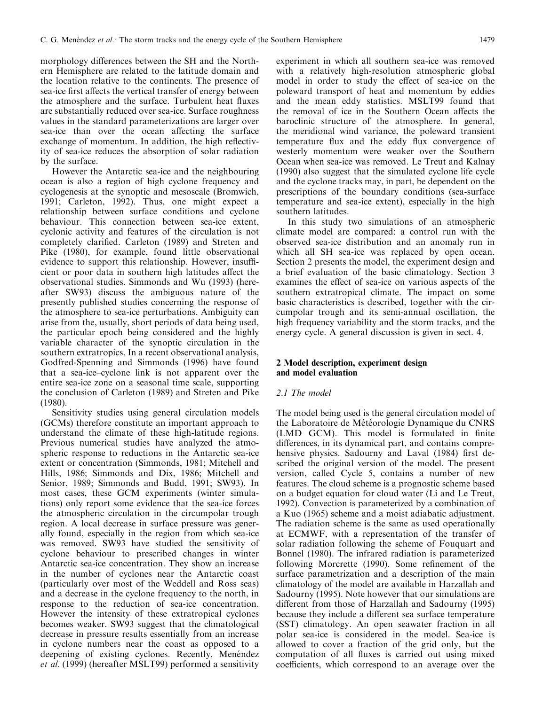morphology differences between the SH and the Northern Hemisphere are related to the latitude domain and the location relative to the continents. The presence of sea-ice first affects the vertical transfer of energy between the atmosphere and the surface. Turbulent heat fluxes are substantially reduced over sea-ice. Surface roughness values in the standard parameterizations are larger over sea-ice than over the ocean affecting the surface exchange of momentum. In addition, the high reflectivity of sea-ice reduces the absorption of solar radiation by the surface.

However the Antarctic sea-ice and the neighbouring ocean is also a region of high cyclone frequency and cyclogenesis at the synoptic and mesoscale (Bromwich, 1991; Carleton, 1992). Thus, one might expect a relationship between surface conditions and cyclone behaviour. This connection between sea-ice extent, cyclonic activity and features of the circulation is not completely clarified. Carleton (1989) and Streten and Pike (1980), for example, found little observational evidence to support this relationship. However, insufficient or poor data in southern high latitudes affect the observational studies. Simmonds and Wu (1993) (hereafter SW93) discuss the ambiguous nature of the presently published studies concerning the response of the atmosphere to sea-ice perturbations. Ambiguity can arise from the, usually, short periods of data being used, the particular epoch being considered and the highly variable character of the synoptic circulation in the southern extratropics. In a recent observational analysis, Godfred-Spenning and Simmonds (1996) have found that a sea-ice-cyclone link is not apparent over the entire sea-ice zone on a seasonal time scale, supporting the conclusion of Carleton (1989) and Streten and Pike (1980).

Sensitivity studies using general circulation models (GCMs) therefore constitute an important approach to understand the climate of these high-latitude regions. Previous numerical studies have analyzed the atmospheric response to reductions in the Antarctic sea-ice extent or concentration (Simmonds, 1981; Mitchell and Hills, 1986; Simmonds and Dix, 1986; Mitchell and Senior, 1989; Simmonds and Budd, 1991; SW93). In most cases, these GCM experiments (winter simulations) only report some evidence that the sea-ice forces the atmospheric circulation in the circumpolar trough region. A local decrease in surface pressure was generally found, especially in the region from which sea-ice was removed. SW93 have studied the sensitivity of cyclone behaviour to prescribed changes in winter Antarctic sea-ice concentration. They show an increase in the number of cyclones near the Antarctic coast (particularly over most of the Weddell and Ross seas) and a decrease in the cyclone frequency to the north, in response to the reduction of sea-ice concentration. However the intensity of these extratropical cyclones becomes weaker. SW93 suggest that the climatological decrease in pressure results essentially from an increase in cyclone numbers near the coast as opposed to a deepening of existing cyclones. Recently, Menéndez et al. (1999) (hereafter MSLT99) performed a sensitivity

experiment in which all southern sea-ice was removed with a relatively high-resolution atmospheric global model in order to study the effect of sea-ice on the poleward transport of heat and momentum by eddies and the mean eddy statistics. MSLT99 found that the removal of ice in the Southern Ocean affects the baroclinic structure of the atmosphere. In general, the meridional wind variance, the poleward transient temperature flux and the eddy flux convergence of westerly momentum were weaker over the Southern Ocean when sea-ice was removed. Le Treut and Kalnay (1990) also suggest that the simulated cyclone life cycle and the cyclone tracks may, in part, be dependent on the prescriptions of the boundary conditions (sea-surface temperature and sea-ice extent), especially in the high southern latitudes.

In this study two simulations of an atmospheric climate model are compared: a control run with the observed sea-ice distribution and an anomaly run in which all SH sea-ice was replaced by open ocean. Section 2 presents the model, the experiment design and a brief evaluation of the basic climatology. Section 3 examines the effect of sea-ice on various aspects of the southern extratropical climate. The impact on some basic characteristics is described, together with the circumpolar trough and its semi-annual oscillation, the high frequency variability and the storm tracks, and the energy cycle. A general discussion is given in sect. 4.

## 2 Model description, experiment design and model evaluation

#### 2.1 The model

The model being used is the general circulation model of the Laboratoire de Météorologie Dynamique du CNRS (LMD GCM). This model is formulated in finite differences, in its dynamical part, and contains comprehensive physics. Sadourny and Laval (1984) first described the original version of the model. The present version, called Cycle 5, contains a number of new features. The cloud scheme is a prognostic scheme based on a budget equation for cloud water (Li and Le Treut, 1992). Convection is parameterized by a combination of a Kuo (1965) scheme and a moist adiabatic adjustment. The radiation scheme is the same as used operationally at ECMWF, with a representation of the transfer of solar radiation following the scheme of Fouquart and Bonnel (1980). The infrared radiation is parameterized following Morcrette (1990). Some refinement of the surface parametrization and a description of the main climatology of the model are available in Harzallah and Sadourny (1995). Note however that our simulations are different from those of Harzallah and Sadourny (1995) because they include a different sea surface temperature (SST) climatology. An open seawater fraction in all polar sea-ice is considered in the model. Sea-ice is allowed to cover a fraction of the grid only, but the computation of all fluxes is carried out using mixed coefficients, which correspond to an average over the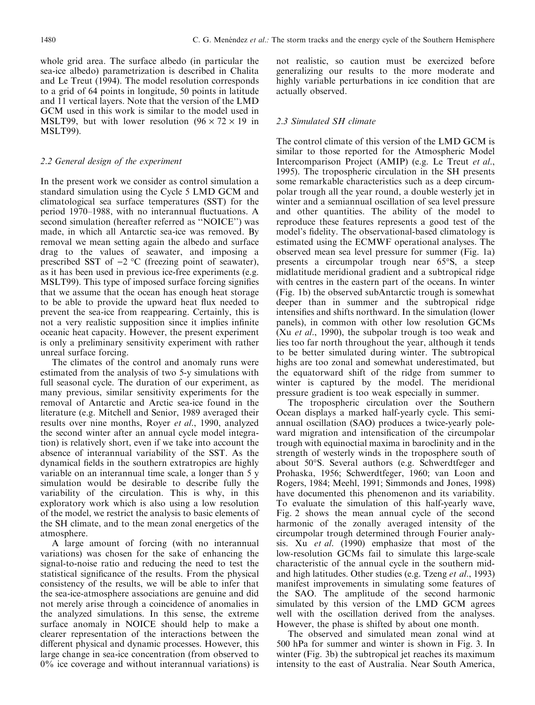whole grid area. The surface albedo (in particular the sea-ice albedo) parametrization is described in Chalita and Le Treut (1994). The model resolution corresponds to a grid of 64 points in longitude, 50 points in latitude and 11 vertical layers. Note that the version of the LMD GCM used in this work is similar to the model used in MSLT99, but with lower resolution  $(96 \times 72 \times 19)$  in MSLT99).

## 2.2 General design of the experiment

In the present work we consider as control simulation a standard simulation using the Cycle 5 LMD GCM and climatological sea surface temperatures (SST) for the period 1970–1988, with no interannual fluctuations. A second simulation (hereafter referred as "NOICE") was made, in which all Antarctic sea-ice was removed. By removal we mean setting again the albedo and surface drag to the values of seawater, and imposing a prescribed SST of  $-2$  °C (freezing point of seawater), as it has been used in previous ice-free experiments (e.g. MSLT99). This type of imposed surface forcing signifies that we assume that the ocean has enough heat storage to be able to provide the upward heat flux needed to prevent the sea-ice from reappearing. Certainly, this is not a very realistic supposition since it implies infinite oceanic heat capacity. However, the present experiment is only a preliminary sensitivity experiment with rather unreal surface forcing.

The climates of the control and anomaly runs were estimated from the analysis of two 5-y simulations with full seasonal cycle. The duration of our experiment, as many previous, similar sensitivity experiments for the removal of Antarctic and Arctic sea-ice found in the literature (e.g. Mitchell and Senior, 1989 averaged their results over nine months, Royer et al., 1990, analyzed the second winter after an annual cycle model integration) is relatively short, even if we take into account the absence of interannual variability of the SST. As the dynamical fields in the southern extratropics are highly variable on an interannual time scale, a longer than 5 y simulation would be desirable to describe fully the variability of the circulation. This is why, in this exploratory work which is also using a low resolution of the model, we restrict the analysis to basic elements of the SH climate, and to the mean zonal energetics of the atmosphere.

A large amount of forcing (with no interannual variations) was chosen for the sake of enhancing the signal-to-noise ratio and reducing the need to test the statistical significance of the results. From the physical consistency of the results, we will be able to infer that the sea-ice-atmosphere associations are genuine and did not merely arise through a coincidence of anomalies in the analyzed simulations. In this sense, the extreme surface anomaly in NOICE should help to make a clearer representation of the interactions between the different physical and dynamic processes. However, this large change in sea-ice concentration (from observed to 0% ice coverage and without interannual variations) is

not realistic, so caution must be exercized before generalizing our results to the more moderate and highly variable perturbations in ice condition that are actually observed.

# 2.3 Simulated SH climate

The control climate of this version of the LMD GCM is similar to those reported for the Atmospheric Model Intercomparison Project (AMIP) (e.g. Le Treut et al., 1995). The tropospheric circulation in the SH presents some remarkable characteristics such as a deep circumpolar trough all the year round, a double westerly jet in winter and a semiannual oscillation of sea level pressure and other quantities. The ability of the model to reproduce these features represents a good test of the model's fidelity. The observational-based climatology is estimated using the ECMWF operational analyses. The observed mean sea level pressure for summer (Fig. 1a) presents a circumpolar trough near 65°S, a steep midlatitude meridional gradient and a subtropical ridge with centres in the eastern part of the oceans. In winter (Fig. 1b) the observed subAntarctic trough is somewhat deeper than in summer and the subtropical ridge intensifies and shifts northward. In the simulation (lower panels), in common with other low resolution GCMs (Xu et al., 1990), the subpolar trough is too weak and lies too far north throughout the year, although it tends to be better simulated during winter. The subtropical highs are too zonal and somewhat underestimated, but the equatorward shift of the ridge from summer to winter is captured by the model. The meridional pressure gradient is too weak especially in summer.

The tropospheric circulation over the Southern Ocean displays a marked half-yearly cycle. This semiannual oscillation (SAO) produces a twice-yearly poleward migration and intensification of the circumpolar trough with equinoctial maxima in baroclinity and in the strength of westerly winds in the troposphere south of about 50°S. Several authors (e.g. Schwerdtfeger and Prohaska, 1956; Schwerdtfeger, 1960; van Loon and Rogers, 1984; Meehl, 1991; Simmonds and Jones, 1998) have documented this phenomenon and its variability. To evaluate the simulation of this half-yearly wave, Fig. 2 shows the mean annual cycle of the second harmonic of the zonally averaged intensity of the circumpolar trough determined through Fourier analysis. Xu et al. (1990) emphasize that most of the low-resolution GCMs fail to simulate this large-scale characteristic of the annual cycle in the southern midand high latitudes. Other studies (e.g. Tzeng et al., 1993) manifest improvements in simulating some features of the SAO. The amplitude of the second harmonic simulated by this version of the LMD GCM agrees well with the oscillation derived from the analyses. However, the phase is shifted by about one month.

The observed and simulated mean zonal wind at 500 hPa for summer and winter is shown in Fig. 3. In winter (Fig. 3b) the subtropical jet reaches its maximum intensity to the east of Australia. Near South America,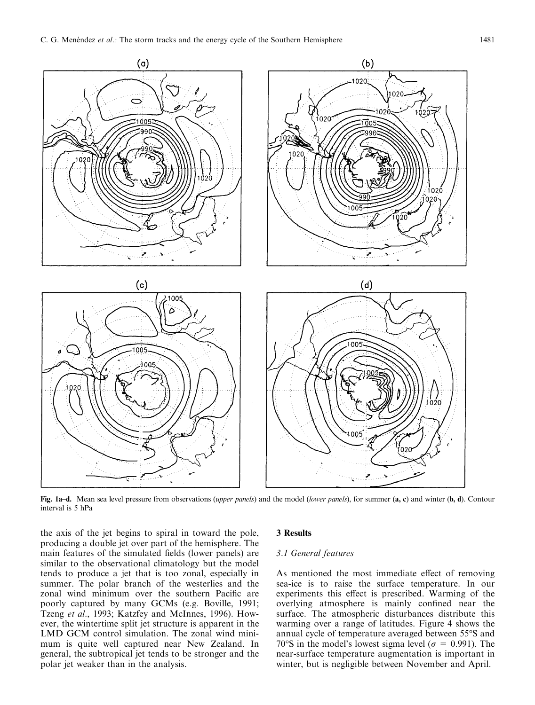

Fig. 1a-d. Mean sea level pressure from observations (upper panels) and the model (lower panels), for summer (a, c) and winter (b, d). Contour interval is 5 hPa

the axis of the jet begins to spiral in toward the pole, producing a double jet over part of the hemisphere. The main features of the simulated fields (lower panels) are similar to the observational climatology but the model tends to produce a jet that is too zonal, especially in summer. The polar branch of the westerlies and the zonal wind minimum over the southern Pacific are poorly captured by many GCMs (e.g. Boville, 1991; Tzeng et al., 1993; Katzfey and McInnes, 1996). However, the wintertime split jet structure is apparent in the LMD GCM control simulation. The zonal wind minimum is quite well captured near New Zealand. In general, the subtropical jet tends to be stronger and the polar jet weaker than in the analysis.

#### 3 Results

# 3.1 General features

As mentioned the most immediate effect of removing sea-ice is to raise the surface temperature. In our experiments this effect is prescribed. Warming of the overlying atmosphere is mainly confined near the surface. The atmospheric disturbances distribute this warming over a range of latitudes. Figure 4 shows the annual cycle of temperature averaged between 55°S and 70°S in the model's lowest sigma level ( $\sigma = 0.991$ ). The near-surface temperature augmentation is important in winter, but is negligible between November and April.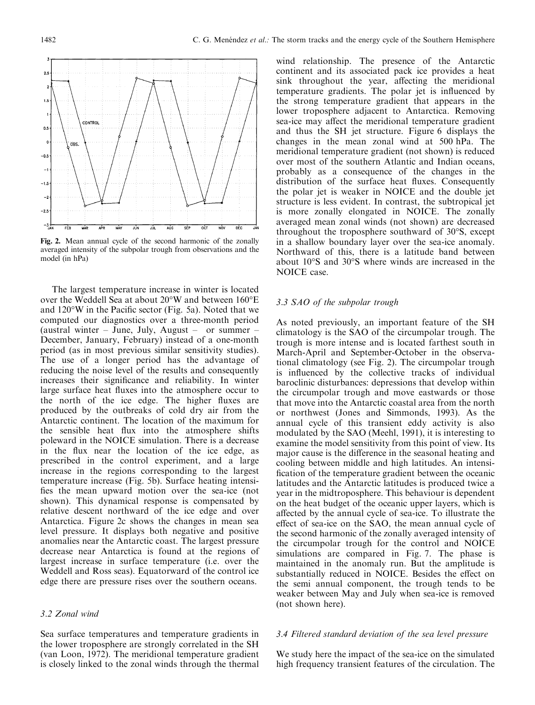

Fig. 2. Mean annual cycle of the second harmonic of the zonally averaged intensity of the subpolar trough from observations and the model (in hPa)

The largest temperature increase in winter is located over the Weddell Sea at about 20°W and between 160°E and  $120^{\circ}$ W in the Pacific sector (Fig. 5a). Noted that we computed our diagnostics over a three-month period (austral winter  $-$  June, July, August  $-$  or summer  $-$ December, January, February) instead of a one-month period (as in most previous similar sensitivity studies). The use of a longer period has the advantage of reducing the noise level of the results and consequently increases their significance and reliability. In winter large surface heat fluxes into the atmosphere occur to the north of the ice edge. The higher fluxes are produced by the outbreaks of cold dry air from the Antarctic continent. The location of the maximum for the sensible heat flux into the atmosphere shifts poleward in the NOICE simulation. There is a decrease in the flux near the location of the ice edge, as prescribed in the control experiment, and a large increase in the regions corresponding to the largest temperature increase (Fig. 5b). Surface heating intensi fies the mean upward motion over the sea-ice (not shown). This dynamical response is compensated by relative descent northward of the ice edge and over Antarctica. Figure 2c shows the changes in mean sea level pressure. It displays both negative and positive anomalies near the Antarctic coast. The largest pressure decrease near Antarctica is found at the regions of largest increase in surface temperature (i.e. over the Weddell and Ross seas). Equatorward of the control ice edge there are pressure rises over the southern oceans.

## 3.2 Zonal wind

Sea surface temperatures and temperature gradients in the lower troposphere are strongly correlated in the SH (van Loon, 1972). The meridional temperature gradient is closely linked to the zonal winds through the thermal

wind relationship. The presence of the Antarctic continent and its associated pack ice provides a heat sink throughout the year, affecting the meridional temperature gradients. The polar jet is influenced by the strong temperature gradient that appears in the lower troposphere adjacent to Antarctica. Removing sea-ice may affect the meridional temperature gradient and thus the SH jet structure. Figure 6 displays the changes in the mean zonal wind at 500 hPa. The meridional temperature gradient (not shown) is reduced over most of the southern Atlantic and Indian oceans, probably as a consequence of the changes in the distribution of the surface heat fluxes. Consequently the polar jet is weaker in NOICE and the double jet structure is less evident. In contrast, the subtropical jet is more zonally elongated in NOICE. The zonally averaged mean zonal winds (not shown) are decreased throughout the troposphere southward of 30°S, except in a shallow boundary layer over the sea-ice anomaly. Northward of this, there is a latitude band between about 10°S and 30°S where winds are increased in the NOICE case.

#### 3.3 SAO of the subpolar trough

As noted previously, an important feature of the SH climatology is the SAO of the circumpolar trough. The trough is more intense and is located farthest south in March-April and September-October in the observational climatology (see Fig. 2). The circumpolar trough is influenced by the collective tracks of individual baroclinic disturbances: depressions that develop within the circumpolar trough and move eastwards or those that move into the Antarctic coastal area from the north or northwest (Jones and Simmonds, 1993). As the annual cycle of this transient eddy activity is also modulated by the SAO (Meehl, 1991), it is interesting to examine the model sensitivity from this point of view. Its major cause is the difference in the seasonal heating and cooling between middle and high latitudes. An intensi fication of the temperature gradient between the oceanic latitudes and the Antarctic latitudes is produced twice a year in the midtroposphere. This behaviour is dependent on the heat budget of the oceanic upper layers, which is affected by the annual cycle of sea-ice. To illustrate the effect of sea-ice on the SAO, the mean annual cycle of the second harmonic of the zonally averaged intensity of the circumpolar trough for the control and NOICE simulations are compared in Fig. 7. The phase is maintained in the anomaly run. But the amplitude is substantially reduced in NOICE. Besides the effect on the semi annual component, the trough tends to be weaker between May and July when sea-ice is removed (not shown here).

# 3.4 Filtered standard deviation of the sea level pressure

We study here the impact of the sea-ice on the simulated high frequency transient features of the circulation. The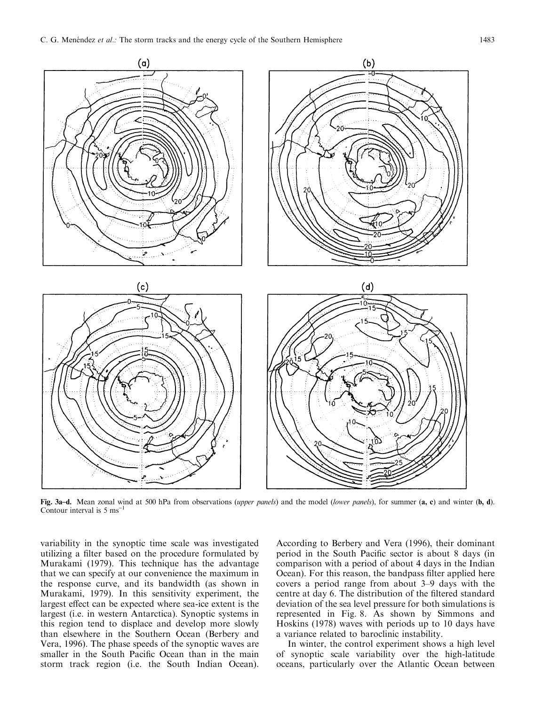

Fig. 3a-d. Mean zonal wind at 500 hPa from observations (upper panels) and the model (lower panels), for summer (a, c) and winter (b, d). Contour interval is  $5 \text{ ms}^{-1}$ 

variability in the synoptic time scale was investigated utilizing a filter based on the procedure formulated by Murakami (1979). This technique has the advantage that we can specify at our convenience the maximum in the response curve, and its bandwidth (as shown in Murakami, 1979). In this sensitivity experiment, the largest effect can be expected where sea-ice extent is the largest (i.e. in western Antarctica). Synoptic systems in this region tend to displace and develop more slowly than elsewhere in the Southern Ocean (Berbery and Vera, 1996). The phase speeds of the synoptic waves are smaller in the South Pacific Ocean than in the main storm track region (i.e. the South Indian Ocean).

According to Berbery and Vera (1996), their dominant period in the South Pacific sector is about 8 days (in comparison with a period of about 4 days in the Indian Ocean). For this reason, the bandpass filter applied here covers a period range from about  $3-9$  days with the centre at day 6. The distribution of the filtered standard deviation of the sea level pressure for both simulations is represented in Fig. 8. As shown by Simmons and Hoskins (1978) waves with periods up to 10 days have a variance related to baroclinic instability.

In winter, the control experiment shows a high level of synoptic scale variability over the high-latitude oceans, particularly over the Atlantic Ocean between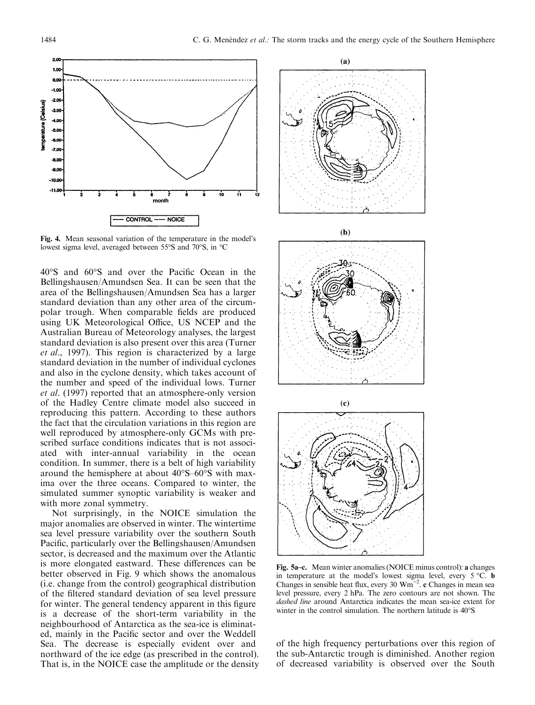

Fig. 4. Mean seasonal variation of the temperature in the model's lowest sigma level, averaged between 55°S and 70°S, in °C

 $40^{\circ}$ S and  $60^{\circ}$ S and over the Pacific Ocean in the Bellingshausen/Amundsen Sea. It can be seen that the area of the Bellingshausen/Amundsen Sea has a larger standard deviation than any other area of the circumpolar trough. When comparable fields are produced using UK Meteorological Office, US NCEP and the Australian Bureau of Meteorology analyses, the largest standard deviation is also present over this area (Turner et al., 1997). This region is characterized by a large standard deviation in the number of individual cyclones and also in the cyclone density, which takes account of the number and speed of the individual lows. Turner et al. (1997) reported that an atmosphere-only version of the Hadley Centre climate model also succeed in reproducing this pattern. According to these authors the fact that the circulation variations in this region are well reproduced by atmosphere-only GCMs with prescribed surface conditions indicates that is not associated with inter-annual variability in the ocean condition. In summer, there is a belt of high variability around the hemisphere at about  $40^{\circ}S-60^{\circ}S$  with maxima over the three oceans. Compared to winter, the simulated summer synoptic variability is weaker and with more zonal symmetry.

Not surprisingly, in the NOICE simulation the major anomalies are observed in winter. The wintertime sea level pressure variability over the southern South Pacific, particularly over the Bellingshausen/Amundsen sector, is decreased and the maximum over the Atlantic is more elongated eastward. These differences can be better observed in Fig. 9 which shows the anomalous (i.e. change from the control) geographical distribution of the filtered standard deviation of sea level pressure for winter. The general tendency apparent in this figure is a decrease of the short-term variability in the neighbourhood of Antarctica as the sea-ice is eliminated, mainly in the Pacific sector and over the Weddell Sea. The decrease is especially evident over and northward of the ice edge (as prescribed in the control). That is, in the NOICE case the amplitude or the density









Fig. 5a-c. Mean winter anomalies (NOICE minus control): a changes in temperature at the model's lowest sigma level, every 5 °C. b Changes in sensible heat flux, every 30  $Wm^{-2}$ . c Changes in mean sea level pressure, every 2 hPa. The zero contours are not shown. The dashed line around Antarctica indicates the mean sea-ice extent for winter in the control simulation. The northern latitude is 40°S

of the high frequency perturbations over this region of the sub-Antarctic trough is diminished. Another region of decreased variability is observed over the South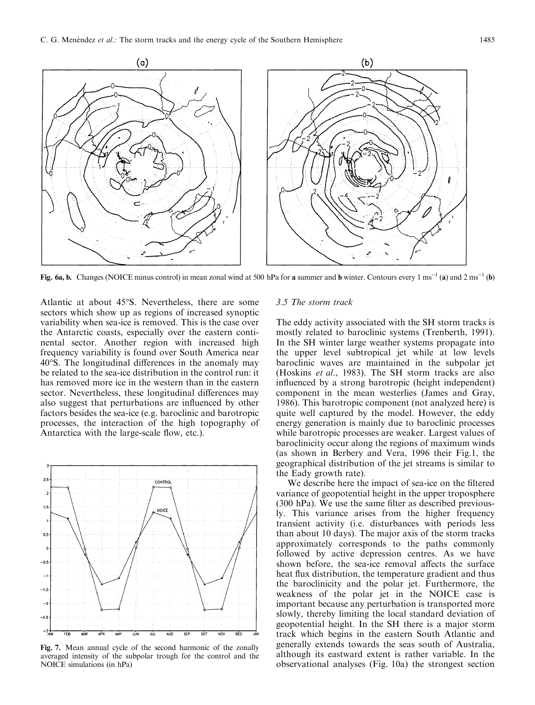

Fig. 6a, b. Changes (NOICE minus control) in mean zonal wind at 500 hPa for a summer and b winter. Contours every  $1 \text{ ms}^{-1}$  (a) and  $2 \text{ ms}^{-1}$  (b)

Atlantic at about 45°S. Nevertheless, there are some sectors which show up as regions of increased synoptic variability when sea-ice is removed. This is the case over the Antarctic coasts, especially over the eastern continental sector. Another region with increased high frequency variability is found over South America near  $40^{\circ}$ S. The longitudinal differences in the anomaly may be related to the sea-ice distribution in the control run: it has removed more ice in the western than in the eastern sector. Nevertheless, these longitudinal differences may also suggest that perturbations are influenced by other factors besides the sea-ice (e.g. baroclinic and barotropic processes, the interaction of the high topography of Antarctica with the large-scale flow, etc.).



Fig. 7. Mean annual cycle of the second harmonic of the zonally averaged intensity of the subpolar trough for the control and the NOICE simulations (in hPa)

#### 3.5 The storm track

The eddy activity associated with the SH storm tracks is mostly related to baroclinic systems (Trenberth, 1991). In the SH winter large weather systems propagate into the upper level subtropical jet while at low levels baroclinic waves are maintained in the subpolar jet (Hoskins et al., 1983). The SH storm tracks are also influenced by a strong barotropic (height independent) component in the mean westerlies (James and Gray, 1986). This barotropic component (not analyzed here) is quite well captured by the model. However, the eddy energy generation is mainly due to baroclinic processes while barotropic processes are weaker. Largest values of baroclinicity occur along the regions of maximum winds (as shown in Berbery and Vera, 1996 their Fig.1, the geographical distribution of the jet streams is similar to the Eady growth rate).

We describe here the impact of sea-ice on the filtered variance of geopotential height in the upper troposphere  $(300 \text{ hPa})$ . We use the same filter as described previously. This variance arises from the higher frequency transient activity (i.e. disturbances with periods less than about 10 days). The major axis of the storm tracks approximately corresponds to the paths commonly followed by active depression centres. As we have shown before, the sea-ice removal affects the surface heat flux distribution, the temperature gradient and thus the baroclinicity and the polar jet. Furthermore, the weakness of the polar jet in the NOICE case is important because any perturbation is transported more slowly, thereby limiting the local standard deviation of geopotential height. In the SH there is a major storm track which begins in the eastern South Atlantic and generally extends towards the seas south of Australia, although its eastward extent is rather variable. In the observational analyses (Fig. 10a) the strongest section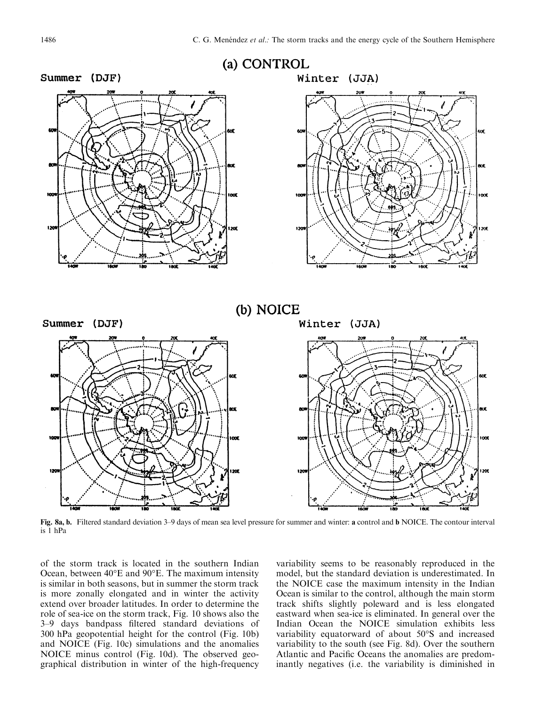

Fig. 8a, b. Filtered standard deviation 3–9 days of mean sea level pressure for summer and winter: a control and b NOICE. The contour interval is 1 hPa

of the storm track is located in the southern Indian Ocean, between 40°E and 90°E. The maximum intensity is similar in both seasons, but in summer the storm track is more zonally elongated and in winter the activity extend over broader latitudes. In order to determine the role of sea-ice on the storm track, Fig. 10 shows also the 3-9 days bandpass filtered standard deviations of 300 hPa geopotential height for the control (Fig. 10b) and NOICE (Fig. 10c) simulations and the anomalies NOICE minus control (Fig. 10d). The observed geographical distribution in winter of the high-frequency

variability seems to be reasonably reproduced in the model, but the standard deviation is underestimated. In the NOICE case the maximum intensity in the Indian Ocean is similar to the control, although the main storm track shifts slightly poleward and is less elongated eastward when sea-ice is eliminated. In general over the Indian Ocean the NOICE simulation exhibits less variability equatorward of about 50°S and increased variability to the south (see Fig. 8d). Over the southern Atlantic and Pacific Oceans the anomalies are predominantly negatives (i.e. the variability is diminished in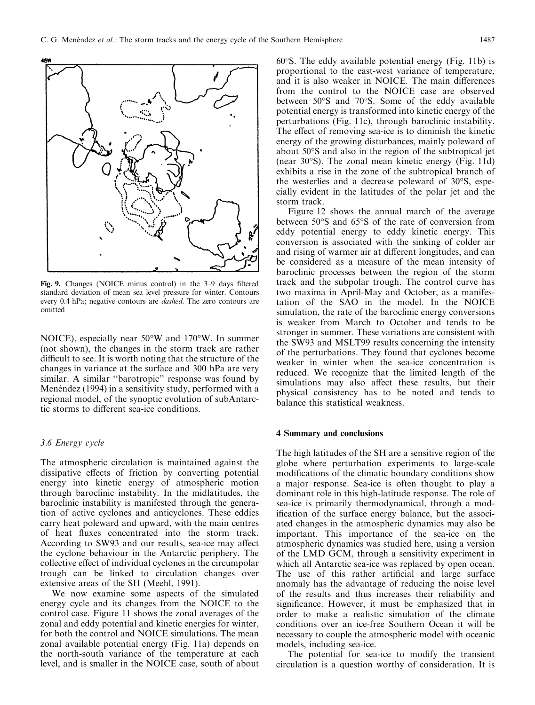

Fig. 9. Changes (NOICE minus control) in the 3-9 days filtered standard deviation of mean sea level pressure for winter. Contours every 0.4 hPa; negative contours are dashed. The zero contours are omitted

NOICE), especially near 50°W and 170°W. In summer (not shown), the changes in the storm track are rather difficult to see. It is worth noting that the structure of the changes in variance at the surface and 300 hPa are very similar. A similar "barotropic" response was found by Menéndez (1994) in a sensitivity study, performed with a regional model, of the synoptic evolution of subAntarctic storms to different sea-ice conditions.

## 3.6 Energy cycle

The atmospheric circulation is maintained against the dissipative effects of friction by converting potential energy into kinetic energy of atmospheric motion through baroclinic instability. In the midlatitudes, the baroclinic instability is manifested through the generation of active cyclones and anticyclones. These eddies carry heat poleward and upward, with the main centres of heat fluxes concentrated into the storm track. According to SW93 and our results, sea-ice may affect the cyclone behaviour in the Antarctic periphery. The collective effect of individual cyclones in the circumpolar trough can be linked to circulation changes over extensive areas of the SH (Meehl, 1991).

We now examine some aspects of the simulated energy cycle and its changes from the NOICE to the control case. Figure 11 shows the zonal averages of the zonal and eddy potential and kinetic energies for winter, for both the control and NOICE simulations. The mean zonal available potential energy (Fig. 11a) depends on the north-south variance of the temperature at each level, and is smaller in the NOICE case, south of about

60°S. The eddy available potential energy (Fig. 11b) is proportional to the east-west variance of temperature, and it is also weaker in NOICE. The main differences from the control to the NOICE case are observed between 50°S and 70°S. Some of the eddy available potential energy is transformed into kinetic energy of the perturbations (Fig. 11c), through baroclinic instability. The effect of removing sea-ice is to diminish the kinetic energy of the growing disturbances, mainly poleward of about 50°S and also in the region of the subtropical jet (near 30°S). The zonal mean kinetic energy (Fig. 11d) exhibits a rise in the zone of the subtropical branch of the westerlies and a decrease poleward of 30°S, especially evident in the latitudes of the polar jet and the storm track.

Figure 12 shows the annual march of the average between 50°S and 65°S of the rate of conversion from eddy potential energy to eddy kinetic energy. This conversion is associated with the sinking of colder air and rising of warmer air at different longitudes, and can be considered as a measure of the mean intensity of baroclinic processes between the region of the storm track and the subpolar trough. The control curve has two maxima in April-May and October, as a manifestation of the SAO in the model. In the NOICE simulation, the rate of the baroclinic energy conversions is weaker from March to October and tends to be stronger in summer. These variations are consistent with the SW93 and MSLT99 results concerning the intensity of the perturbations. They found that cyclones become weaker in winter when the sea-ice concentration is reduced. We recognize that the limited length of the simulations may also affect these results, but their physical consistency has to be noted and tends to balance this statistical weakness.

#### 4 Summary and conclusions

The high latitudes of the SH are a sensitive region of the globe where perturbation experiments to large-scale modifications of the climatic boundary conditions show a major response. Sea-ice is often thought to play a dominant role in this high-latitude response. The role of sea-ice is primarily thermodynamical, through a modification of the surface energy balance, but the associ-ated changes in the atmospheric dynamics may also be important. This importance of the sea-ice on the atmospheric dynamics was studied here, using a version of the LMD GCM, through a sensitivity experiment in which all Antarctic sea-ice was replaced by open ocean. The use of this rather artificial and large surface anomaly has the advantage of reducing the noise level of the results and thus increases their reliability and significance. However, it must be emphasized that in order to make a realistic simulation of the climate conditions over an ice-free Southern Ocean it will be necessary to couple the atmospheric model with oceanic models, including sea-ice.

The potential for sea-ice to modify the transient circulation is a question worthy of consideration. It is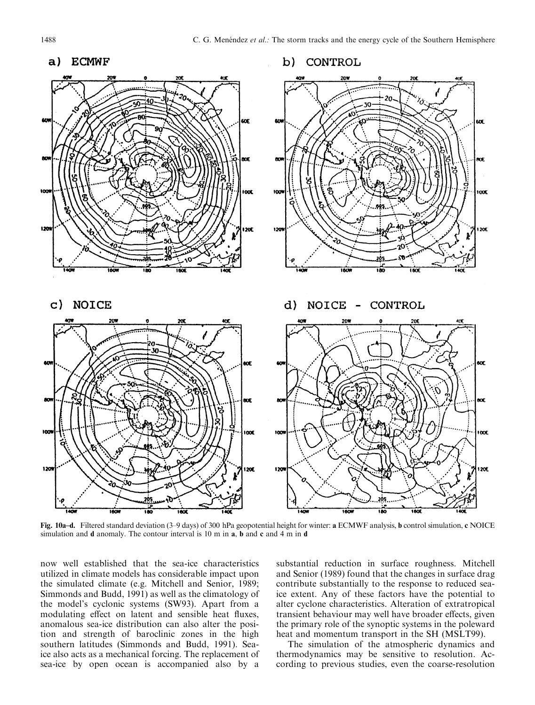

Fig. 10a-d. Filtered standard deviation (3-9 days) of 300 hPa geopotential height for winter: a ECMWF analysis, b control simulation, c NOICE simulation and d anomaly. The contour interval is 10 m in a, b and c and 4 m in d

now well established that the sea-ice characteristics utilized in climate models has considerable impact upon the simulated climate (e.g. Mitchell and Senior, 1989; Simmonds and Budd, 1991) as well as the climatology of the model's cyclonic systems (SW93). Apart from a modulating effect on latent and sensible heat fluxes, anomalous sea-ice distribution can also alter the position and strength of baroclinic zones in the high southern latitudes (Simmonds and Budd, 1991). Seaice also acts as a mechanical forcing. The replacement of sea-ice by open ocean is accompanied also by a

substantial reduction in surface roughness. Mitchell and Senior (1989) found that the changes in surface drag contribute substantially to the response to reduced seaice extent. Any of these factors have the potential to alter cyclone characteristics. Alteration of extratropical transient behaviour may well have broader effects, given the primary role of the synoptic systems in the poleward heat and momentum transport in the SH (MSLT99).

The simulation of the atmospheric dynamics and thermodynamics may be sensitive to resolution. According to previous studies, even the coarse-resolution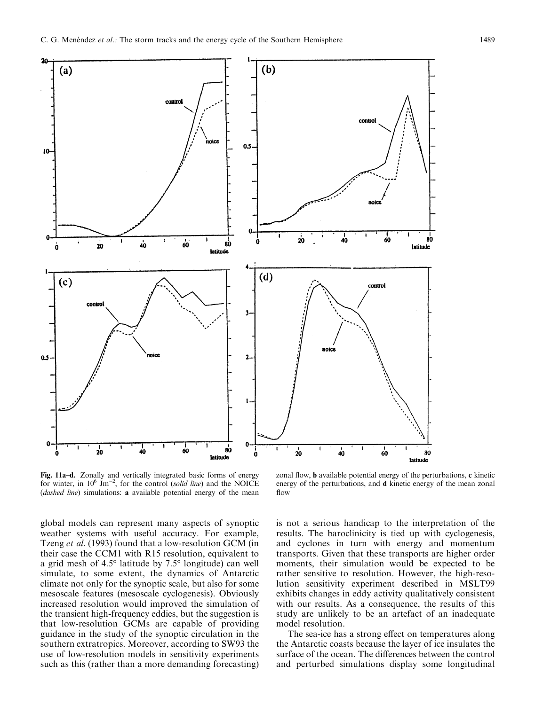

**Fig. 11a-d.** Zonally and vertically integrated basic forms of energy for winter, in  $10^6$  Jm<sup>-2</sup>, for the control (*solid line*) and the NOICE (*dashed line*) simulations: **a** available potential energy of the mean

global models can represent many aspects of synoptic weather systems with useful accuracy. For example, Tzeng et al. (1993) found that a low-resolution GCM (in their case the CCM1 with R15 resolution, equivalent to a grid mesh of 4.5° latitude by 7.5° longitude) can well simulate, to some extent, the dynamics of Antarctic climate not only for the synoptic scale, but also for some mesoscale features (mesoscale cyclogenesis). Obviously increased resolution would improved the simulation of the transient high-frequency eddies, but the suggestion is that low-resolution GCMs are capable of providing guidance in the study of the synoptic circulation in the southern extratropics. Moreover, according to SW93 the use of low-resolution models in sensitivity experiments such as this (rather than a more demanding forecasting)

zonal flow, **b** available potential energy of the perturbations, c kinetic energy of the perturbations, and d kinetic energy of the mean zonal flow

is not a serious handicap to the interpretation of the results. The baroclinicity is tied up with cyclogenesis, and cyclones in turn with energy and momentum transports. Given that these transports are higher order moments, their simulation would be expected to be rather sensitive to resolution. However, the high-resolution sensitivity experiment described in MSLT99 exhibits changes in eddy activity qualitatively consistent with our results. As a consequence, the results of this study are unlikely to be an artefact of an inadequate model resolution.

The sea-ice has a strong effect on temperatures along the Antarctic coasts because the layer of ice insulates the surface of the ocean. The differences between the control and perturbed simulations display some longitudinal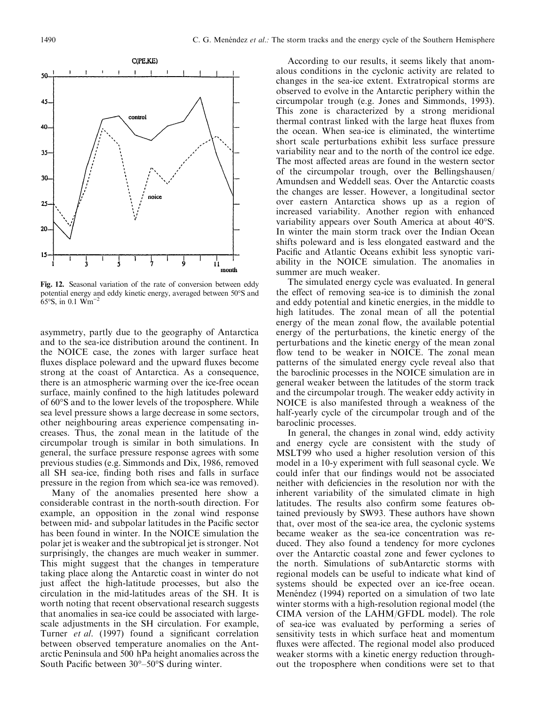

Fig. 12. Seasonal variation of the rate of conversion between eddy potential energy and eddy kinetic energy, averaged between 50°S and 65 $\rm{°S}$ , in 0.1 Wm<sup>-2</sup>

asymmetry, partly due to the geography of Antarctica and to the sea-ice distribution around the continent. In the NOICE case, the zones with larger surface heat fluxes displace poleward and the upward fluxes become strong at the coast of Antarctica. As a consequence, there is an atmospheric warming over the ice-free ocean surface, mainly confined to the high latitudes poleward of 60°S and to the lower levels of the troposphere. While sea level pressure shows a large decrease in some sectors, other neighbouring areas experience compensating increases. Thus, the zonal mean in the latitude of the circumpolar trough is similar in both simulations. In general, the surface pressure response agrees with some previous studies (e.g. Simmonds and Dix, 1986, removed all SH sea-ice, finding both rises and falls in surface pressure in the region from which sea-ice was removed).

Many of the anomalies presented here show a considerable contrast in the north-south direction. For example, an opposition in the zonal wind response between mid- and subpolar latitudes in the Pacific sector has been found in winter. In the NOICE simulation the polar jet is weaker and the subtropical jet is stronger. Not surprisingly, the changes are much weaker in summer. This might suggest that the changes in temperature taking place along the Antarctic coast in winter do not just affect the high-latitude processes, but also the circulation in the mid-latitudes areas of the SH. It is worth noting that recent observational research suggests that anomalies in sea-ice could be associated with largescale adjustments in the SH circulation. For example, Turner *et al.* (1997) found a significant correlation between observed temperature anomalies on the Antarctic Peninsula and 500 hPa height anomalies across the South Pacific between  $30^{\circ} - 50^{\circ}$ S during winter.

According to our results, it seems likely that anomalous conditions in the cyclonic activity are related to changes in the sea-ice extent. Extratropical storms are observed to evolve in the Antarctic periphery within the circumpolar trough (e.g. Jones and Simmonds, 1993). This zone is characterized by a strong meridional thermal contrast linked with the large heat fluxes from the ocean. When sea-ice is eliminated, the wintertime short scale perturbations exhibit less surface pressure variability near and to the north of the control ice edge. The most affected areas are found in the western sector of the circumpolar trough, over the Bellingshausen/ Amundsen and Weddell seas. Over the Antarctic coasts the changes are lesser. However, a longitudinal sector over eastern Antarctica shows up as a region of increased variability. Another region with enhanced variability appears over South America at about 40°S. In winter the main storm track over the Indian Ocean shifts poleward and is less elongated eastward and the Pacific and Atlantic Oceans exhibit less synoptic variability in the NOICE simulation. The anomalies in summer are much weaker.

The simulated energy cycle was evaluated. In general the effect of removing sea-ice is to diminish the zonal and eddy potential and kinetic energies, in the middle to high latitudes. The zonal mean of all the potential energy of the mean zonal flow, the available potential energy of the perturbations, the kinetic energy of the perturbations and the kinetic energy of the mean zonal flow tend to be weaker in NOICE. The zonal mean patterns of the simulated energy cycle reveal also that the baroclinic processes in the NOICE simulation are in general weaker between the latitudes of the storm track and the circumpolar trough. The weaker eddy activity in NOICE is also manifested through a weakness of the half-yearly cycle of the circumpolar trough and of the baroclinic processes.

In general, the changes in zonal wind, eddy activity and energy cycle are consistent with the study of MSLT99 who used a higher resolution version of this model in a 10-y experiment with full seasonal cycle. We could infer that our findings would not be associated neither with deficiencies in the resolution nor with the inherent variability of the simulated climate in high latitudes. The results also confirm some features obtained previously by SW93. These authors have shown that, over most of the sea-ice area, the cyclonic systems became weaker as the sea-ice concentration was reduced. They also found a tendency for more cyclones over the Antarctic coastal zone and fewer cyclones to the north. Simulations of subAntarctic storms with regional models can be useful to indicate what kind of systems should be expected over an ice-free ocean. Menéndez (1994) reported on a simulation of two late winter storms with a high-resolution regional model (the CIMA version of the LAHM/GFDL model). The role of sea-ice was evaluated by performing a series of sensitivity tests in which surface heat and momentum fluxes were affected. The regional model also produced weaker storms with a kinetic energy reduction throughout the troposphere when conditions were set to that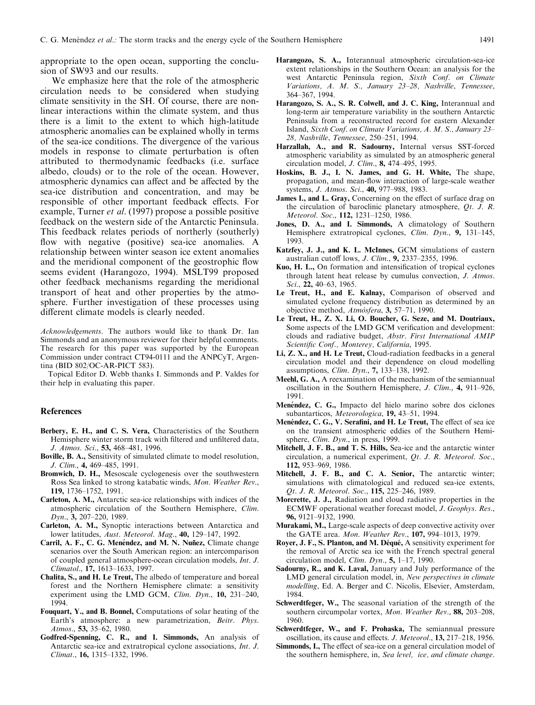appropriate to the open ocean, supporting the conclusion of SW93 and our results.

We emphasize here that the role of the atmospheric circulation needs to be considered when studying climate sensitivity in the SH. Of course, there are nonlinear interactions within the climate system, and thus there is a limit to the extent to which high-latitude atmospheric anomalies can be explained wholly in terms of the sea-ice conditions. The divergence of the various models in response to climate perturbation is often attributed to thermodynamic feedbacks (i.e. surface albedo, clouds) or to the role of the ocean. However, atmospheric dynamics can affect and be affected by the sea-ice distribution and concentration, and may be responsible of other important feedback effects. For example, Turner et al. (1997) propose a possible positive feedback on the western side of the Antarctic Peninsula. This feedback relates periods of northerly (southerly) flow with negative (positive) sea-ice anomalies. A relationship between winter season ice extent anomalies and the meridional component of the geostrophic flow seems evident (Harangozo, 1994). MSLT99 proposed other feedback mechanisms regarding the meridional transport of heat and other properties by the atmosphere. Further investigation of these processes using different climate models is clearly needed.

Acknowledgements. The authors would like to thank Dr. Ian Simmonds and an anonymous reviewer for their helpful comments. The research for this paper was supported by the European Commission under contract CT94-0111 and the ANPCyT, Argentina (BID 802/OC-AR-PICT 583).

Topical Editor D. Webb thanks I. Simmonds and P. Valdes for their help in evaluating this paper.

#### References

- Berbery, E. H., and C. S. Vera, Characteristics of the Southern Hemisphere winter storm track with filtered and unfiltered data, J. Atmos. Sci., 53, 468-481, 1996.
- Boville, B. A., Sensitivity of simulated climate to model resolution, J. Clim., 4, 469-485, 1991.
- Bromwich, D. H., Mesoscale cyclogenesis over the southwestern Ross Sea linked to strong katabatic winds, Mon. Weather Rev., 119, 1736-1752, 1991.
- Carleton, A. M., Antarctic sea-ice relationships with indices of the atmospheric circulation of the Southern Hemisphere, Clim. Dyn., 3, 207-220, 1989.
- Carleton, A. M., Synoptic interactions between Antarctica and lower latitudes, Aust. Meteorol. Mag., 40, 129-147, 1992.
- Carril, A. F., C. G. Menéndez, and M. N. Nuñez, Climate change scenarios over the South American region: an intercomparison of coupled general atmosphere-ocean circulation models, Int. J. Climatol., 17, 1613-1633, 1997.
- Chalita, S., and H. Le Treut, The albedo of temperature and boreal forest and the Northern Hemisphere climate: a sensitivity experiment using the LMD GCM, Clim. Dyn.,  $10$ , 231-240, 1994.
- Fouquart, Y., and B. Bonnel, Computations of solar heating of the Earth's atmosphere: a new parametrization, Beitr. Phys. Atmos., 53, 35–62, 1980.
- Godfred-Spenning, C. R., and I. Simmonds, An analysis of Antarctic sea-ice and extratropical cyclone associations, Int. J. Climat., 16, 1315-1332, 1996.
- Harangozo, S. A., Interannual atmospheric circulation-sea-ice extent relationships in the Southern Ocean: an analysis for the west Antarctic Peninsula region, Sixth Conf. on Climate Variations, A. M. S., January 23-28, Nashville, Tennessee, 364±367, 1994.
- Harangozo, S. A., S. R. Colwell, and J. C. King, Interannual and long-term air temperature variability in the southern Antarctic Peninsula from a reconstructed record for eastern Alexander Island, Sixth Conf. on Climate Variations, A. M. S., January 23-28, Nashville, Tennessee, 250-251, 1994.
- Harzallah, A., and R. Sadourny, Internal versus SST-forced atmospheric variability as simulated by an atmospheric general circulation model, *J. Clim.*, **8**, 474-495, 1995.
- Hoskins, B. J., I. N. James, and G. H. White, The shape, propagation, and mean-flow interaction of large-scale weather systems, *J. Atmos. Sci.*, 40, 977-988, 1983.
- James I., and L. Gray, Concerning on the effect of surface drag on the circulation of baroclinic planetary atmosphere,  $Qt$ . J. R. Meteorol. Soc., 112, 1231-1250, 1986.
- Jones, D. A., and I. Simmonds, A climatology of Southern Hemisphere extratropical cyclones, Clim. Dyn., 9, 131-145, 1993.
- Katzfey, J. J., and K. L. McInnes, GCM simulations of eastern australian cutoff lows, J. Clim.,  $9$ , 2337-2355, 1996.
- Kuo, H. L., On formation and intensification of tropical cyclones through latent heat release by cumulus convection, J. Atmos. Sci., 22, 40-63, 1965.
- Le Treut, H., and E. Kalnay, Comparison of observed and simulated cyclone frequency distribution as determined by an objective method, Atmósfera, 3, 57–71, 1990.
- Le Treut, H., Z. X. Li, O. Boucher, G. Seze, and M. Doutriaux, Some aspects of the LMD GCM verification and development: clouds and radiative budget, Abstr. First International AMIP Scientific Conf., Monterey, California, 1995.
- Li, Z. X., and H. Le Treut, Cloud-radiation feedbacks in a general circulation model and their dependence on cloud modelling assumptions, *Clim. Dyn.*, 7, 133-138, 1992.
- Meehl, G. A., A reexamination of the mechanism of the semiannual oscillation in the Southern Hemisphere, J. Clim., 4, 911-926, 1991.
- Menéndez, C. G., Impacto del hielo marino sobre dos ciclones subantarticos, Meteorologica, 19, 43-51, 1994.
- Menéndez, C. G., V. Serafini, and H. Le Treut, The effect of sea ice on the transient atmospheric eddies of the Southern Hemisphere, *Clim. Dyn.*, in press, 1999.
- Mitchell, J. F. B., and T. S. Hills, Sea-ice and the antarctic winter circulation, a numerical experiment, Qt. J. R. Meteorol. Soc., 112, 953-969, 1986.
- Mitchell, J. F. B., and C. A. Senior, The antarctic winter; simulations with climatological and reduced sea-ice extents, Qt. J. R. Meteorol. Soc., 115, 225-246, 1989.
- Morcrette, J. J., Radiation and cloud radiative properties in the ECMWF operational weather forecast model, J. Geophys. Res., 96, 9121-9132, 1990.
- Murakami, M., Large-scale aspects of deep convective activity over the GATE area. Mon. Weather Rev., 107, 994-1013, 1979.
- Royer, J. F., S. Planton, and M. Déqué, A sensitivity experiment for the removal of Arctic sea ice with the French spectral general circulation model, Clim. Dyn.,  $5$ , 1-17, 1990.
- Sadourny, R., and K. Laval, January and July performance of the LMD general circulation model, in, New perspectives in climate modelling, Ed. A. Berger and C. Nicolis, Elsevier, Amsterdam, 1984.
- Schwerdtfeger, W., The seasonal variation of the strength of the southern circumpolar vortex, Mon. Weather Rev., 88, 203-208, 1960.
- Schwerdtfeger, W., and F. Prohaska, The semiannual pressure oscillation, its cause and effects. *J. Meteorol.*, **13**, 217–218, 1956.
- Simmonds, I., The effect of sea-ice on a general circulation model of the southern hemisphere, in, Sea level, ice, and climate change.